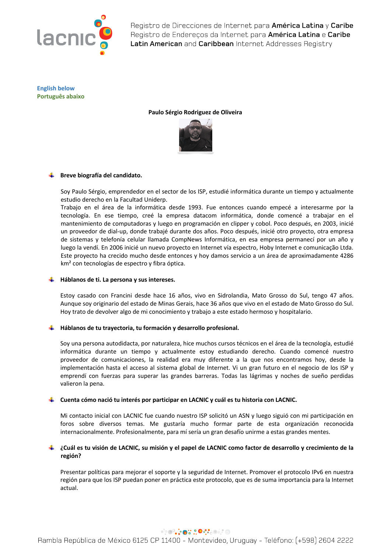

**English below Português abaixo**

**Paulo Sérgio Rodriguez de Oliveira**



# **Breve biografía del candidato.**

Soy Paulo Sérgio, emprendedor en el sector de los ISP, estudié informática durante un tiempo y actualmente estudio derecho en la Facultad Uniderp.

Trabajo en el área de la informática desde 1993. Fue entonces cuando empecé a interesarme por la tecnología. En ese tiempo, creé la empresa datacom informática, donde comencé a trabajar en el mantenimiento de computadoras y luego en programación en clipper y cobol. Poco después, en 2003, inicié un proveedor de dial-up, donde trabajé durante dos años. Poco después, inicié otro proyecto, otra empresa de sistemas y telefonía celular llamada CompNews Informática, en esa empresa permanecí por un año y luego la vendí. En 2006 inicié un nuevo proyecto en Internet vía espectro, Hoby Internet e comunicação Ltda. Este proyecto ha crecido mucho desde entonces y hoy damos servicio a un área de aproximadamente 4286 km² con tecnologías de espectro y fibra óptica.

## **Háblanos de ti. La persona y sus intereses.**

Estoy casado con Francini desde hace 16 años, vivo en Sidrolandia, Mato Grosso do Sul, tengo 47 años. Aunque soy originario del estado de Minas Gerais, hace 36 años que vivo en el estado de Mato Grosso do Sul. Hoy trato de devolver algo de mi conocimiento y trabajo a este estado hermoso y hospitalario.

## **Háblanos de tu trayectoria, tu formación y desarrollo profesional.**

Soy una persona autodidacta, por naturaleza, hice muchos cursos técnicos en el área de la tecnología, estudié informática durante un tiempo y actualmente estoy estudiando derecho. Cuando comencé nuestro proveedor de comunicaciones, la realidad era muy diferente a la que nos encontramos hoy, desde la implementación hasta el acceso al sistema global de Internet. Vi un gran futuro en el negocio de los ISP y emprendí con fuerzas para superar las grandes barreras. Todas las lágrimas y noches de sueño perdidas valieron la pena.

## **Cuenta cómo nació tu interés por participar en LACNIC y cuál es tu historia con LACNIC.**

Mi contacto inicial con LACNIC fue cuando nuestro ISP solicitó un ASN y luego siguió con mi participación en foros sobre diversos temas. Me gustaría mucho formar parte de esta organización reconocida internacionalmente. Profesionalmente, para mí sería un gran desafío unirme a estas grandes mentes.

## **¿Cuál es tu visión de LACNIC, su misión y el papel de LACNIC como factor de desarrollo y crecimiento de la región?**

Presentar políticas para mejorar el soporte y la seguridad de Internet. Promover el protocolo IPv6 en nuestra región para que los ISP puedan poner en práctica este protocolo, que es de suma importancia para la Internet actual.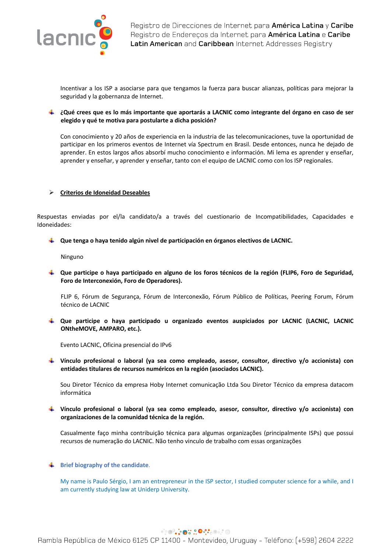

Incentivar a los ISP a asociarse para que tengamos la fuerza para buscar alianzas, políticas para mejorar la seguridad y la gobernanza de Internet.

## **¿Qué crees que es lo más importante que aportarás a LACNIC como integrante del órgano en caso de ser elegido y qué te motiva para postularte a dicha posición?**

Con conocimiento y 20 años de experiencia en la industria de las telecomunicaciones, tuve la oportunidad de participar en los primeros eventos de Internet vía Spectrum en Brasil. Desde entonces, nunca he dejado de aprender. En estos largos años absorbí mucho conocimiento e información. Mi lema es aprender y enseñar, aprender y enseñar, y aprender y enseñar, tanto con el equipo de LACNIC como con los ISP regionales.

## Ø **Criterios de Idoneidad Deseables**

Respuestas enviadas por el/la candidato/a a través del cuestionario de Incompatibilidades, Capacidades e Idoneidades:

**Que tenga o haya tenido algún nivel de participación en órganos electivos de LACNIC.**

Ninguno

**Que participe o haya participado en alguno de los foros técnicos de la región (FLIP6, Foro de Seguridad, Foro de Interconexión, Foro de Operadores).** 

FLIP 6, Fórum de Segurança, Fórum de Interconexão, Fórum Público de Políticas, Peering Forum, Fórum técnico de LACNIC

**Que participe o haya participado u organizado eventos auspiciados por LACNIC (LACNIC, LACNIC ONtheMOVE, AMPARO, etc.).** 

Evento LACNIC, Oficina presencial do IPv6

**Vínculo profesional o laboral (ya sea como empleado, asesor, consultor, directivo y/o accionista) con entidades titulares de recursos numéricos en la región (asociados LACNIC).**

Sou Diretor Técnico da empresa Hoby Internet comunicação Ltda Sou Diretor Técnico da empresa datacom informática

**Vínculo profesional o laboral (ya sea como empleado, asesor, consultor, directivo y/o accionista) con organizaciones de la comunidad técnica de la región.**

Casualmente faço minha contribuição técnica para algumas organizações (principalmente ISPs) que possui recursos de numeração do LACNIC. Não tenho vinculo de trabalho com essas organizações

#### **Brief biography of the candidate.**

My name is Paulo Sérgio, I am an entrepreneur in the ISP sector, I studied computer science for a while, and I am currently studying law at Uniderp University.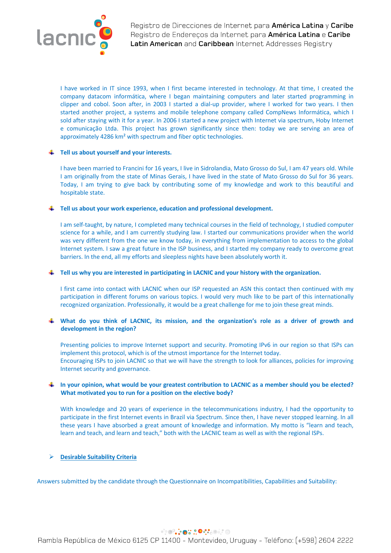

I have worked in IT since 1993, when I first became interested in technology. At that time, I created the company datacom informática, where I began maintaining computers and later started programming in clipper and cobol. Soon after, in 2003 I started a dial-up provider, where I worked for two years. I then started another project, a systems and mobile telephone company called CompNews Informática, which I sold after staying with it for a year. In 2006 I started a new project with Internet via spectrum, Hoby Internet e comunicação Ltda. This project has grown significantly since then: today we are serving an area of approximately 4286 km² with spectrum and fiber optic technologies.

### **Tell us about yourself and your interests.**

I have been married to Francini for 16 years, I live in Sidrolandia, Mato Grosso do Sul, I am 47 years old. While I am originally from the state of Minas Gerais, I have lived in the state of Mato Grosso do Sul for 36 years. Today, I am trying to give back by contributing some of my knowledge and work to this beautiful and hospitable state.

#### **Tell us about your work experience, education and professional development.**

I am self-taught, by nature, I completed many technical courses in the field of technology, I studied computer science for a while, and I am currently studying law. I started our communications provider when the world was very different from the one we know today, in everything from implementation to access to the global Internet system. I saw a great future in the ISP business, and I started my company ready to overcome great barriers. In the end, all my efforts and sleepless nights have been absolutely worth it.

### **Tell us why you are interested in participating in LACNIC and your history with the organization.**

I first came into contact with LACNIC when our ISP requested an ASN this contact then continued with my participation in different forums on various topics. I would very much like to be part of this internationally recognized organization. Professionally, it would be a great challenge for me to join these great minds.

## **What do you think of LACNIC, its mission, and the organization's role as a driver of growth and development in the region?**

Presenting policies to improve Internet support and security. Promoting IPv6 in our region so that ISPs can implement this protocol, which is of the utmost importance for the Internet today. Encouraging ISPs to join LACNIC so that we will have the strength to look for alliances, policies for improving Internet security and governance.

# **In your opinion, what would be your greatest contribution to LACNIC as a member should you be elected? What motivated you to run for a position on the elective body?**

With knowledge and 20 years of experience in the telecommunications industry, I had the opportunity to participate in the first Internet events in Brazil via Spectrum. Since then, I have never stopped learning. In all these years I have absorbed a great amount of knowledge and information. My motto is "learn and teach, learn and teach, and learn and teach," both with the LACNIC team as well as with the regional ISPs.

## Ø **Desirable Suitability Criteria**

Answers submitted by the candidate through the Questionnaire on Incompatibilities, Capabilities and Suitability:

# **PRODUCT OF SOCIOL**

Rambla República de México 6125 CP 11400 - Montevideo, Uruguay - Teléfono: (+598) 2604 2222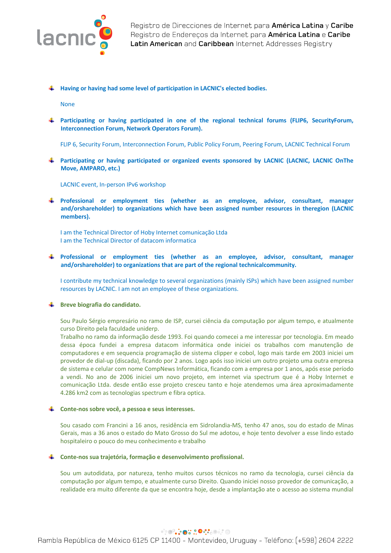

**Having or having had some level of participation in LACNIC's elected bodies.**

None

**Participating or having participated in one of the regional technical forums (FLIP6, SecurityForum, Interconnection Forum, Network Operators Forum).**

FLIP 6, Security Forum, Interconnection Forum, Public Policy Forum, Peering Forum, LACNIC Technical Forum

**Participating or having participated or organized events sponsored by LACNIC (LACNIC, LACNIC OnThe Move, AMPARO, etc.)**

LACNIC event, In-person IPv6 workshop

**Professional or employment ties (whether as an employee, advisor, consultant, manager and/orshareholder) to organizations which have been assigned number resources in theregion (LACNIC members).**

I am the Technical Director of Hoby Internet comunicação Ltda I am the Technical Director of datacom informatica

**Professional or employment ties (whether as an employee, advisor, consultant, manager and/orshareholder) to organizations that are part of the regional technicalcommunity.**

I contribute my technical knowledge to several organizations (mainly ISPs) which have been assigned number resources by LACNIC. I am not an employee of these organizations.

## **Breve biografia do candidato.**

Sou Paulo Sérgio empresário no ramo de ISP, cursei ciência da computação por algum tempo, e atualmente curso Direito pela faculdade uniderp.

Trabalho no ramo da informação desde 1993. Foi quando comecei a me interessar por tecnologia. Em meado dessa época fundei a empresa datacom informática onde iniciei os trabalhos com manutenção de computadores e em sequencia programação de sistema clipper e cobol, logo mais tarde em 2003 iniciei um provedor de dial-up (discada), ficando por 2 anos. Logo após isso iniciei um outro projeto uma outra empresa de sistema e celular com nome CompNews Informática, ficando com a empresa por 1 anos, após esse período a vendi. No ano de 2006 iniciei um novo projeto, em internet via spectrum que é a Hoby Internet e comunicação Ltda. desde então esse projeto cresceu tanto e hoje atendemos uma área aproximadamente 4.286 km2 com as tecnologias spectrum e fibra optica.

#### **Conte-nos sobre você, a pessoa e seus interesses.**

Sou casado com Francini a 16 anos, residência em Sidrolandia-MS, tenho 47 anos, sou do estado de Minas Gerais, mas a 36 anos o estado do Mato Grosso do Sul me adotou, e hoje tento devolver a esse lindo estado hospitaleiro o pouco do meu conhecimento e trabalho

#### **Conte-nos sua trajetória, formação e desenvolvimento profissional.**

Sou um autodidata, por natureza, tenho muitos cursos técnicos no ramo da tecnologia, cursei ciência da computação por algum tempo, e atualmente curso Direito. Quando iniciei nosso provedor de comunicação, a realidade era muito diferente da que se encontra hoje, desde a implantação ate o acesso ao sistema mundial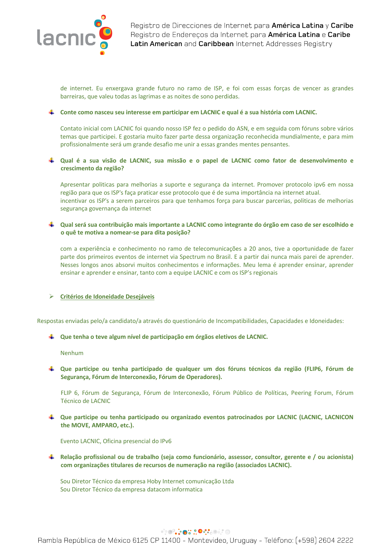

de internet. Eu enxergava grande futuro no ramo de ISP, e foi com essas forças de vencer as grandes barreiras, que valeu todas as lagrimas e as noites de sono perdidas.

### **Conte como nasceu seu interesse em participar em LACNIC e qual é a sua história com LACNIC.**

Contato inicial com LACNIC foi quando nosso ISP fez o pedido do ASN, e em seguida com fóruns sobre vários temas que participei. E gostaria muito fazer parte dessa organização reconhecida mundialmente, e para mim profissionalmente será um grande desafio me unir a essas grandes mentes pensantes.

## **Qual é a sua visão de LACNIC, sua missão e o papel de LACNIC como fator de desenvolvimento e crescimento da região?**

Apresentar politicas para melhorias a suporte e segurança da internet. Promover protocolo ipv6 em nossa região para que os ISP's faça praticar esse protocolo que é de suma importância na internet atual. incentivar os ISP's a serem parceiros para que tenhamos força para buscar parcerias, politicas de melhorias segurança governança da internet

## **Qual será sua contribuição mais importante a LACNIC como integrante do órgão em caso de ser escolhido e o quê te motiva a nomear-se para dita posição?**

com a experiência e conhecimento no ramo de telecomunicações a 20 anos, tive a oportunidade de fazer parte dos primeiros eventos de internet via Spectrum no Brasil. E a partir dai nunca mais parei de aprender. Nesses longos anos absorvi muitos conhecimentos e informações. Meu lema é aprender ensinar, aprender ensinar e aprender e ensinar, tanto com a equipe LACNIC e com os ISP's regionais

## Ø **Critérios de Idoneidade Desejáveis**

Respostas enviadas pelo/a candidato/a através do questionário de Incompatibilidades, Capacidades e Idoneidades:

#### **Que tenha o teve algum nível de participação em órgãos eletivos de LACNIC.**

Nenhum

**Que participe ou tenha participado de qualquer um dos fóruns técnicos da região (FLIP6, Fórum de Segurança, Fórum de Interconexão, Fórum de Operadores).**

FLIP 6, Fórum de Segurança, Fórum de Interconexão, Fórum Público de Políticas, Peering Forum, Fórum Técnico de LACNIC

**Que participe ou tenha participado ou organizado eventos patrocinados por LACNIC (LACNIC, LACNICON the MOVE, AMPARO, etc.).**

Evento LACNIC, Oficina presencial do IPv6

**Relação profissional ou de trabalho (seja como funcionário, assessor, consultor, gerente e / ou acionista) com organizações titulares de recursos de numeração na região (associados LACNIC).**

Sou Diretor Técnico da empresa Hoby Internet comunicação Ltda Sou Diretor Técnico da empresa datacom informatica